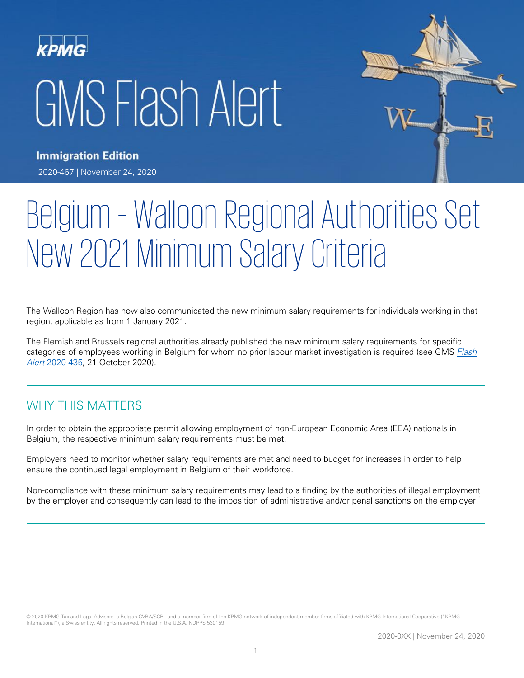# GMS Flash Alert



**Immigration Edition** 2020-467 | November 24, 2020

# Belgium – Walloon Regional Authorities Set New 2021 Minimum Salary Criteria

The Walloon Region has now also communicated the new minimum salary requirements for individuals working in that region, applicable as from 1 January 2021.

The Flemish and Brussels regional authorities already published the new minimum salary requirements for specific categories of employees working in Belgium for whom no prior labour market investigation is required (see GMS Flash Alert [2020-435,](https://home.kpmg/xx/en/home/insights/2020/10/flash-alert-2020-435.html) 21 October 2020).

## WHY THIS MATTERS

In order to obtain the appropriate permit allowing employment of non-European Economic Area (EEA) nationals in Belgium, the respective minimum salary requirements must be met.

Employers need to monitor whether salary requirements are met and need to budget for increases in order to help ensure the continued legal employment in Belgium of their workforce.

Non-compliance with these minimum salary requirements may lead to a finding by the authorities of illegal employment by the employer and consequently can lead to the imposition of administrative and/or penal sanctions on the employer.<sup>1</sup>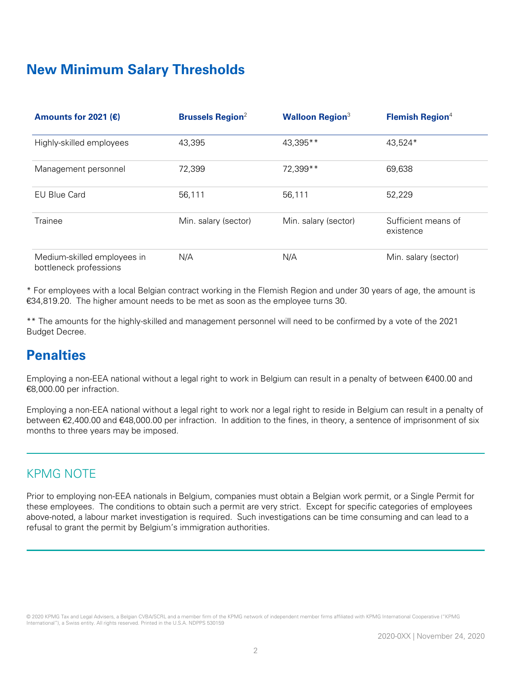# **New Minimum Salary Thresholds**

| Amounts for 2021 ( $\varepsilon$ )                    | <b>Brussels Region</b> <sup>2</sup> | <b>Walloon Region</b> <sup>3</sup> | <b>Flemish Region</b> <sup>4</sup> |
|-------------------------------------------------------|-------------------------------------|------------------------------------|------------------------------------|
| Highly-skilled employees                              | 43,395                              | 43,395**                           | 43,524*                            |
| Management personnel                                  | 72,399                              | 72,399 **                          | 69,638                             |
| <b>EU Blue Card</b>                                   | 56,111                              | 56,111                             | 52,229                             |
| Trainee                                               | Min. salary (sector)                | Min. salary (sector)               | Sufficient means of<br>existence   |
| Medium-skilled employees in<br>bottleneck professions | N/A                                 | N/A                                | Min. salary (sector)               |

\* For employees with a local Belgian contract working in the Flemish Region and under 30 years of age, the amount is €34,819.20. The higher amount needs to be met as soon as the employee turns 30.

\*\* The amounts for the highly-skilled and management personnel will need to be confirmed by a vote of the 2021 Budget Decree.

# **Penalties**

Employing a non-EEA national without a legal right to work in Belgium can result in a penalty of between €400.00 and €8,000.00 per infraction.

Employing a non-EEA national without a legal right to work nor a legal right to reside in Belgium can result in a penalty of between €2,400.00 and €48,000.00 per infraction. In addition to the fines, in theory, a sentence of imprisonment of six months to three years may be imposed.

#### KPMG NOTE

Prior to employing non-EEA nationals in Belgium, companies must obtain a Belgian work permit, or a Single Permit for these employees. The conditions to obtain such a permit are very strict. Except for specific categories of employees above-noted, a labour market investigation is required. Such investigations can be time consuming and can lead to a refusal to grant the permit by Belgium's immigration authorities.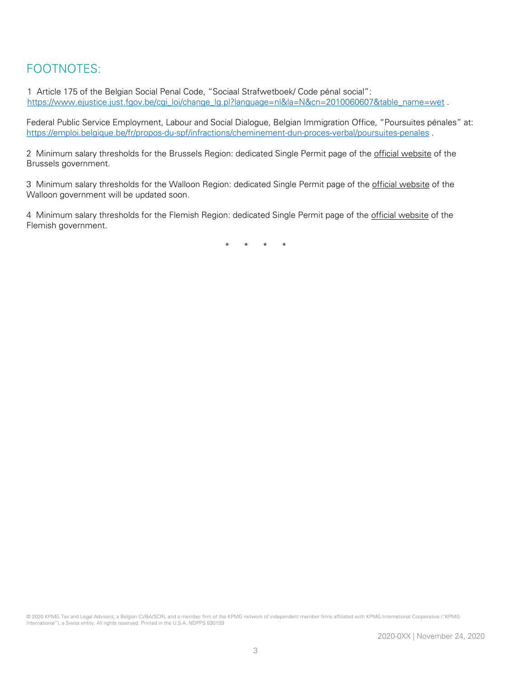## FOOTNOTES:

1 Article 175 of the Belgian Social Penal Code, "Sociaal Strafwetboek/ Code pénal social": [https://www.ejustice.just.fgov.be/cgi\\_loi/change\\_lg.pl?language=nl&la=N&cn=2010060607&table\\_name=wet](https://www.ejustice.just.fgov.be/cgi_loi/change_lg.pl?language=nl&la=N&cn=2010060607&table_name=wet) .

Federal Public Service Employment, Labour and Social Dialogue, Belgian Immigration Office, "Poursuites pénales" at: <https://emploi.belgique.be/fr/propos-du-spf/infractions/cheminement-dun-proces-verbal/poursuites-penales> .

2 Minimum salary thresholds for the Brussels Region: dedicated Single Permit page of the [official website](http://werk-economie-emploi.brussels/en/single-permit-your-situation) of the Brussels government.

3 Minimum salary thresholds for the Walloon Region: dedicated Single Permit page of the [official website](https://emploi.wallonie.be/home/travailleurs-etrangers/permis-de-travail.html) of the Walloon government will be updated soon.

4 Minimum salary thresholds for the Flemish Region: dedicated Single Permit page of the [official website](https://www.vlaanderen.be/gecombineerde-vergunning-van-bepaalde-duur/gecombineerde-vergunning-categorieen-en-procedure) of the Flemish government.

\* \* \* \*

© 2020 KPMG Tax and Legal Advisers, a Belgian CVBA/SCRL and a member firm of the KPMG network of independent member firms affiliated with KPMG International Cooperative ("KPMG International"), a Swiss entity. All rights reserved. Printed in the U.S.A. NDPPS 530159